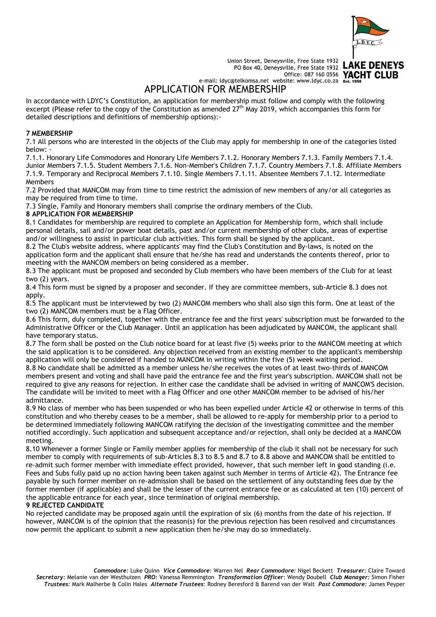

Union Street, Deneysville, Free State 1932 nion Street, Deneysville, Free State 1932<br>PO Box 40, Deneysville, Free State 1932 Office: 087 160 0556 YACHT CLUB

e-mail: ldyc@telkomsa.net website: www.ldyc.co.za Est

APPLICATION FOR MEMBERSHIP

In accordance with LDYC's Constitution, an application for membership must follow and comply with the following excerpt (Please refer to the copy of the Constitution as amended 27<sup>th</sup> May 2019, which accompanies this form for detailed descriptions and definitions of membership options):-

## **7 MEMBERSHIP**

7.1 All persons who are interested in the objects of the Club may apply for membership in one of the categories listed below: -

7.1.1. Honorary Life Commodores and Honorary Life Members 7.1.2. Honorary Members 7.1.3. Family Members 7.1.4. Junior Members 7.1.5. Student Members 7.1.6. Non-Member's Children 7.1.7. Country Members 7.1.8. Affiliate Members 7.1.9. Temporary and Reciprocal Members 7.1.10. Single Members 7.1.11. Absentee Members 7.1.12. Intermediate **Members** 

7.2 Provided that MANCOM may from time to time restrict the admission of new members of any/or all categories as may be required from time to time.

7.3 Single, Family and Honorary members shall comprise the ordinary members of the Club.

## **8 APPLICATION FOR MEMBERSHIP**

8.1 Candidates for membership are required to complete an Application for Membership form, which shall include personal details, sail and/or power boat details, past and/or current membership of other clubs, areas of expertise and/or willingness to assist in particular club activities. This form shall be signed by the applicant.

8.2 The Club's website address, where applicants' may find the Club's Constitution and By-laws, is noted on the application form and the applicant shall ensure that he/she has read and understands the contents thereof, prior to meeting with the MANCOM members on being considered as a member.

8.3 The applicant must be proposed and seconded by Club members who have been members of the Club for at least two (2) years.

8.4 This form must be signed by a proposer and seconder. If they are committee members, sub-Article 8.3 does not apply.

8.5 The applicant must be interviewed by two (2) MANCOM members who shall also sign this form. One at least of the two (2) MANCOM members must be a Flag Officer.

8.6 This form, duly completed, together with the entrance fee and the first years' subscription must be forwarded to the Administrative Officer or the Club Manager. Until an application has been adjudicated by MANCOM, the applicant shall have temporary status.

8.7 The form shall be posted on the Club notice board for at least five (5) weeks prior to the MANCOM meeting at which the said application is to be considered. Any objection received from an existing member to the applicant's membership application will only be considered if handed to MANCOM in writing within the five (5) week waiting period.

8.8 No candidate shall be admitted as a member unless he/she receives the votes of at least two-thirds of MANCOM members present and voting and shall have paid the entrance fee and the first year's subscription. MANCOM shall not be required to give any reasons for rejection. In either case the candidate shall be advised in writing of MANCOM'S decision. The candidate will be invited to meet with a Flag Officer and one other MANCOM member to be advised of his/her admittance.

8.9 No class of member who has been suspended or who has been expelled under Article 42 or otherwise in terms of this constitution and who thereby ceases to be a member, shall be allowed to re-apply for membership prior to a period to be determined immediately following MANCOM ratifying the decision of the investigating committee and the member notified accordingly. Such application and subsequent acceptance and/or rejection, shall only be decided at a MANCOM meeting.

8.10 Whenever a former Single or Family member applies for membership of the club it shall not be necessary for such member to comply with requirements of sub-Articles 8.3 to 8.5 and 8.7 to 8.8 above and MANCOM shall be entitled to re-admit such former member with immediate effect provided, however, that such member left in good standing (i.e. Fees and Subs fully paid up no action having been taken against such Member in terms of Article 42). The Entrance fee payable by such former member on re-admission shall be based on the settlement of any outstanding fees due by the former member (if applicable) and shall be the lesser of the current entrance fee or as calculated at ten (10) percent of the applicable entrance for each year, since termination of original membership.

## **9 REJECTED CANDIDATE**

No rejected candidate may be proposed again until the expiration of six (6) months from the date of his rejection. If however, MANCOM is of the opinion that the reason(s) for the previous rejection has been resolved and circumstances now permit the applicant to submit a new application then he/she may do so immediately.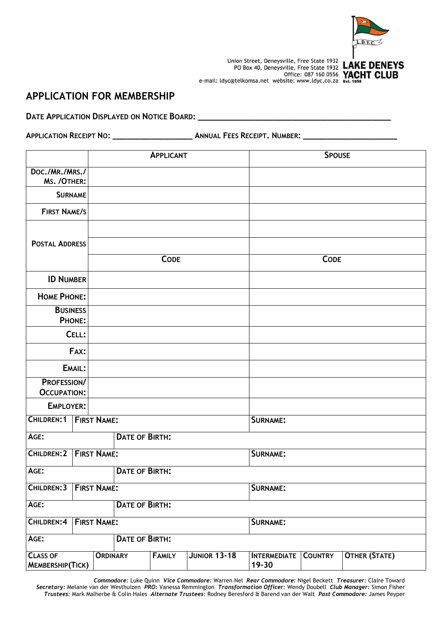

# **APPLICATION FOR MEMBERSHIP**

**DATE APPLICATION DISPLAYED ON NOTICE BOARD: \_\_\_\_\_\_\_\_\_\_\_\_\_\_\_\_\_\_\_\_\_\_\_\_\_\_\_\_\_\_\_\_\_\_\_\_\_\_\_\_\_**

**APPLICATION RECEIPT NO: \_\_\_\_\_\_\_\_\_\_\_\_\_\_\_\_\_ ANNUAL FEES RECEIPT. NUMBER: \_\_\_\_\_\_\_\_\_\_\_\_\_\_\_\_\_\_\_\_**

|                                            |                                |                    |                       | <b>APPLICANT</b> |                     |                              | <b>SPOUSE</b>  |               |
|--------------------------------------------|--------------------------------|--------------------|-----------------------|------------------|---------------------|------------------------------|----------------|---------------|
| Doc./MR./MRS./                             |                                |                    |                       |                  |                     |                              |                |               |
| MS. /OTHER:                                |                                |                    |                       |                  |                     |                              |                |               |
| <b>SURNAME</b>                             |                                |                    |                       |                  |                     |                              |                |               |
| <b>FIRST NAME/S</b>                        |                                |                    |                       |                  |                     |                              |                |               |
|                                            |                                |                    |                       |                  |                     |                              |                |               |
| <b>POSTAL ADDRESS</b>                      |                                |                    |                       |                  |                     |                              |                |               |
|                                            |                                | <b>CODE</b>        |                       |                  |                     | <b>CODE</b>                  |                |               |
| <b>ID NUMBER</b>                           |                                |                    |                       |                  |                     |                              |                |               |
| <b>HOME PHONE:</b>                         |                                |                    |                       |                  |                     |                              |                |               |
| <b>BUSINESS</b>                            |                                |                    |                       |                  |                     |                              |                |               |
|                                            | PHONE:                         |                    |                       |                  |                     |                              |                |               |
|                                            | CELL:                          |                    |                       |                  |                     |                              |                |               |
|                                            | FAX:                           |                    |                       |                  |                     |                              |                |               |
|                                            | EMAIL:                         |                    |                       |                  |                     |                              |                |               |
| PROFESSION/<br><b>OCCUPATION:</b>          |                                |                    |                       |                  |                     |                              |                |               |
| EMPLOYER:                                  |                                |                    |                       |                  |                     |                              |                |               |
| CHILDREN:1                                 |                                | <b>FIRST NAME:</b> |                       |                  |                     | SURNAME:                     |                |               |
| AGE:                                       |                                |                    | <b>DATE OF BIRTH:</b> |                  |                     |                              |                |               |
| CHILDREN: 2                                |                                | <b>FIRST NAME:</b> |                       |                  |                     | SURNAME:                     |                |               |
| AGE:                                       |                                |                    | <b>DATE OF BIRTH:</b> |                  |                     |                              |                |               |
| CHILDREN: 3                                | <b>FIRST NAME:</b><br>SURNAME: |                    |                       |                  |                     |                              |                |               |
| AGE:                                       |                                | DATE OF BIRTH:     |                       |                  |                     |                              |                |               |
| CHILDREN:4<br><b>FIRST NAME:</b>           |                                |                    |                       |                  |                     | SURNAME:                     |                |               |
| AGE:                                       |                                |                    | <b>DATE OF BIRTH:</b> |                  |                     |                              |                |               |
| <b>CLASS OF</b><br><b>MEMBERSHIP(TICK)</b> |                                | <b>ORDINARY</b>    |                       | <b>FAMILY</b>    | <b>JUNIOR 13-18</b> | <b>INTERMEDIATE</b><br>19-30 | <b>COUNTRY</b> | OTHER (STATE) |

 *Commodore:* Luke Quinn *Vice Commodore:* Warren Nel *Rear Commodore:* Nigel Beckett *Treasurer:* Claire Toward *Secretary:* Melanie van der Westhuizen *PRO:* Vanessa Remmington *Transformation Officer*: Wendy Doubell *Club Manager:* Simon Fisher *Trustees:* Mark Malherbe & Colin Hales *Alternate Trustees*: Rodney Beresford & Barend van der Walt *Past Commodore:* James Peyper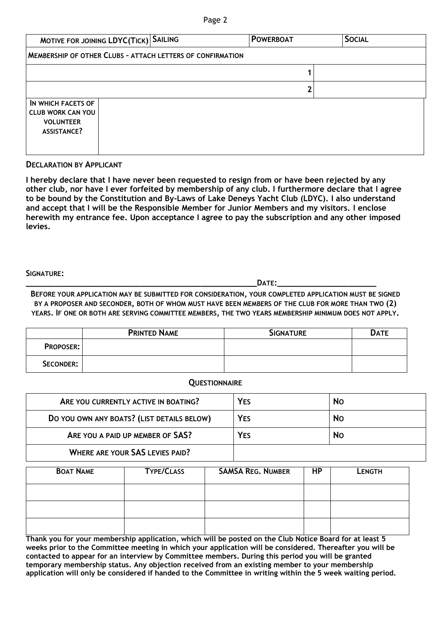## Page 2

| MOTIVE FOR JOINING LDYC(TICK) SAILING                                                    |                                                                   |  | <b>POWERBOAT</b> |  | <b>SOCIAL</b> |  |  |  |
|------------------------------------------------------------------------------------------|-------------------------------------------------------------------|--|------------------|--|---------------|--|--|--|
|                                                                                          | <b>MEMBERSHIP OF OTHER CLUBS - ATTACH LETTERS OF CONFIRMATION</b> |  |                  |  |               |  |  |  |
|                                                                                          |                                                                   |  |                  |  |               |  |  |  |
|                                                                                          |                                                                   |  |                  |  |               |  |  |  |
| IN WHICH FACETS OF<br><b>CLUB WORK CAN YOU</b><br><b>VOLUNTEER</b><br><b>ASSISTANCE?</b> |                                                                   |  |                  |  |               |  |  |  |

## **DECLARATION BY APPLICANT**

**I hereby declare that I have never been requested to resign from or have been rejected by any other club, nor have I ever forfeited by membership of any club. I furthermore declare that I agree to be bound by the Constitution and By-Laws of Lake Deneys Yacht Club (LDYC). I also understand and accept that I will be the Responsible Member for Junior Members and my visitors. I enclose herewith my entrance fee. Upon acceptance I agree to pay the subscription and any other imposed levies.**

#### **SIGNATURE:**

**\_\_\_\_\_\_\_\_\_\_\_\_\_\_\_\_\_\_\_\_\_\_\_\_\_\_\_\_\_\_\_\_\_\_\_\_\_\_\_\_\_\_\_\_\_\_\_\_\_DATE:\_\_\_\_\_\_\_\_\_\_\_\_\_\_\_\_\_\_\_\_\_**

**BEFORE YOUR APPLICATION MAY BE SUBMITTED FOR CONSIDERATION, YOUR COMPLETED APPLICATION MUST BE SIGNED BY A PROPOSER AND SECONDER, BOTH OF WHOM MUST HAVE BEEN MEMBERS OF THE CLUB FOR MORE THAN TWO (2) YEARS. IF ONE OR BOTH ARE SERVING COMMITTEE MEMBERS, THE TWO YEARS MEMBERSHIP MINIMUM DOES NOT APPLY.**

|                  | <b>PRINTED NAME</b> | <b>SIGNATURE</b> | <b>DATE</b> |
|------------------|---------------------|------------------|-------------|
| <b>PROPOSER:</b> |                     |                  |             |
| SECONDER:        |                     |                  |             |

## **QUESTIONNAIRE**

| ARE YOU CURRENTLY ACTIVE IN BOATING?       | <b>YES</b> | <b>No</b> |
|--------------------------------------------|------------|-----------|
| DO YOU OWN ANY BOATS? (LIST DETAILS BELOW) | <b>YES</b> | <b>No</b> |
| ARE YOU A PAID UP MEMBER OF SAS?           | <b>YES</b> | <b>No</b> |
| <b>WHERE ARE YOUR SAS LEVIES PAID?</b>     |            |           |

| <b>BOAT NAME</b> | <b>TYPE/CLASS</b> | <b>SAMSA REG. NUMBER</b> | <b>HP</b> | <b>LENGTH</b> |
|------------------|-------------------|--------------------------|-----------|---------------|
|                  |                   |                          |           |               |
|                  |                   |                          |           |               |
|                  |                   |                          |           |               |

**Thank you for your membership application, which will be posted on the Club Notice Board for at least 5 weeks prior to the Committee meeting in which your application will be considered. Thereafter you will be contacted to appear for an interview by Committee members. During this period you will be granted temporary membership status. Any objection received from an existing member to your membership application will only be considered if handed to the Committee in writing within the 5 week waiting period.**